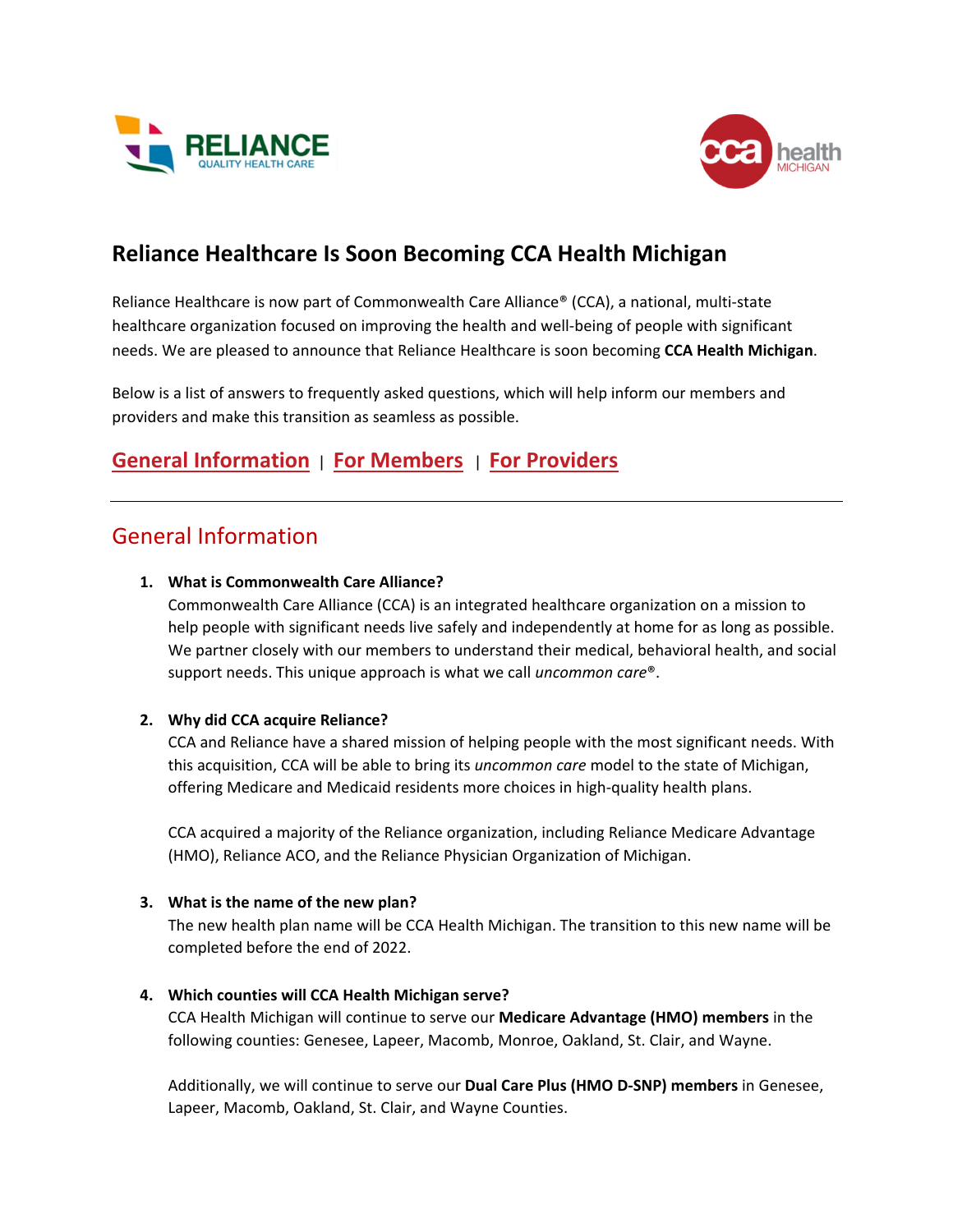



# **Reliance Healthcare Is Soon Becoming CCA Health Michigan**

Reliance Healthcare is now part of Commonwealth Care Alliance® (CCA), a national, multi‐state healthcare organization focused on improving the health and well-being of people with significant needs. We are pleased to announce that Reliance Healthcare is soon becoming **CCA Health Michigan**.

Below is a list of answers to frequently asked questions, which will help inform our members and providers and make this transition as seamless as possible.

# **General Information** | **For [Members](#page-1-0)** | **For [Providers](#page-2-0)**

## General Information

### **1. What is Commonwealth Care Alliance?**

Commonwealth Care Alliance (CCA) is an integrated healthcare organization on a mission to help people with significant needs live safely and independently at home for as long as possible. We partner closely with our members to understand their medical, behavioral health, and social support needs. This unique approach is what we call *uncommon care*®.

### **2. Why did CCA acquire Reliance?**

CCA and Reliance have a shared mission of helping people with the most significant needs. With this acquisition, CCA will be able to bring its *uncommon care* model to the state of Michigan, offering Medicare and Medicaid residents more choices in high‐quality health plans.

CCA acquired a majority of the Reliance organization, including Reliance Medicare Advantage (HMO), Reliance ACO, and the Reliance Physician Organization of Michigan.

#### **3. What is the name of the new plan?**

The new health plan name will be CCA Health Michigan. The transition to this new name will be completed before the end of 2022.

#### **4. Which counties will CCA Health Michigan serve?**

CCA Health Michigan will continue to serve our **Medicare Advantage (HMO) members** in the following counties: Genesee, Lapeer, Macomb, Monroe, Oakland, St. Clair, and Wayne.

Additionally, we will continue to serve our **Dual Care Plus (HMO D‐SNP) members** in Genesee, Lapeer, Macomb, Oakland, St. Clair, and Wayne Counties.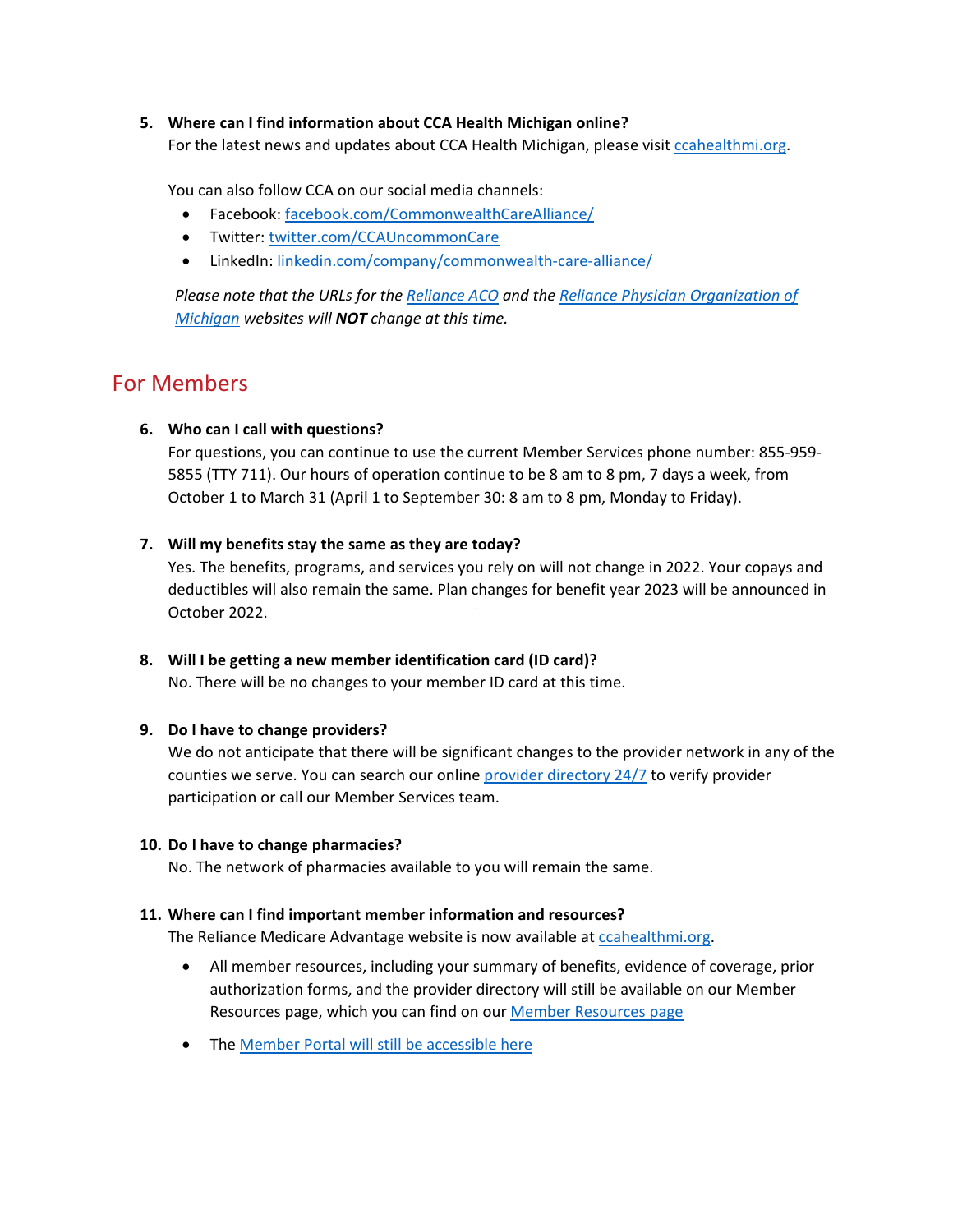#### <span id="page-1-0"></span>**5. Where can I find information about CCA Health Michigan online?**

For the latest news and updates about CCA Health Michigan, please visit [ccahealthmi.org](www.ccahealthmi.org).

You can also follow CCA on our social media channels:

- Facebook: [facebook.com/CommonwealthCareAlliance/](www.facebook.com/CommonwealthCareAlliance/)
- Twitter: [twitter.com/CCAUncommonCare](www.twitter.com/CCAUncommonCare)
- LinkedIn: [linkedin.com/company/commonwealth](https://www.linkedin.com/company/commonwealth-care-alliance/)‐care‐alliance/

*Please note that the URLs for the [Reliance](https://reliance.healthcare/) ACO and the Reliance Physician [Organization](https://reliancephysicianorganization.org/) of Michigan websites will NOT change at this time.* 

### For Members

#### **6. Who can I call with questions?**

For questions, you can continue to use the current Member Services phone number: 855‐959‐ 5855 (TTY 711). Our hours of operation continue to be 8 am to 8 pm, 7 days a week, from October 1 to March 31 (April 1 to September 30: 8 am to 8 pm, Monday to Friday).

#### **7. Will my benefits stay the same as they are today?**

Yes. The benefits, programs, and services you rely on will not change in 2022. Your copays and deductibles will also remain the same. Plan changes for benefit year 2023 will be announced in October 2022.

#### **8. Will I be getting a new member identification card (ID card)?**

No. There will be no changes to your member ID card at this time.

#### **9. Do I have to change providers?**

We do not anticipate that there will be significant changes to the provider network in any of the counties we serve. You can search our online provider [directory](https://www.reliancemedicareadvantage.org/provider-search/) 24/7 to verify provider participation or call our Member Services team.

#### **10. Do I have to change pharmacies?**

No. The network of pharmacies available to you will remain the same.

#### **11. Where can I find important member information and resources?**

The Reliance Medicare Advantage website is now available at [ccahealthmi.org.](www.ccahealthmi.org)

- All member resources, including your summary of benefits, evidence of coverage, prior authorization forms, and the provider directory will still be available on our Member Resources page, which you can find on our Member [Resources](https://www.reliancemedicareadvantage.org/member-resources/) page
- The Member Portal will still be [accessible](https://rhpmember.prod.healthaxis.net/guest/login?returnUrl=%2Fmember%2Fhome) here